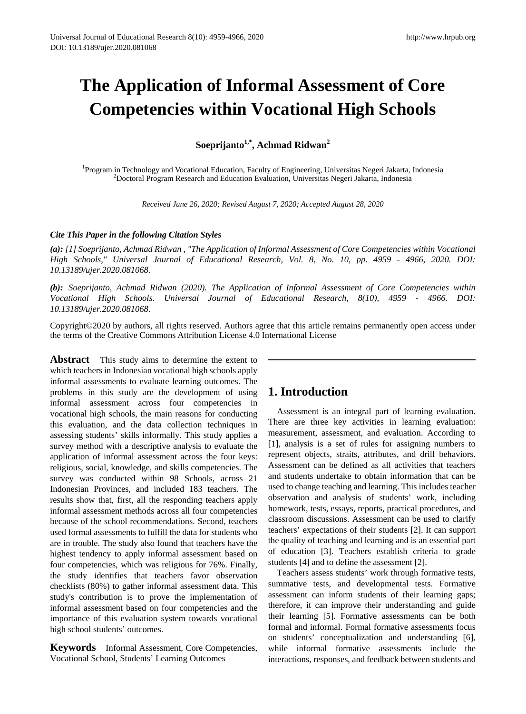# **The Application of Informal Assessment of Core Competencies within Vocational High Schools**

**Soeprijanto1,\*, Achmad Ridwan2** 

<sup>1</sup>Program in Technology and Vocational Education, Faculty of Engineering, Universitas Negeri Jakarta, Indonesia<br><sup>2</sup>Doctoral Program Research and Education Evaluation, Universitas Negeri Jakarta, Indonesia <sup>2</sup>Doctoral Program Research and Education Evaluation, Universitas Negeri Jakarta, Indonesia

*Received June 26, 2020; Revised August 7, 2020; Accepted August 28, 2020*

#### *Cite This Paper in the following Citation Styles*

*(a): [1] Soeprijanto, Achmad Ridwan , "The Application of Informal Assessment of Core Competencies within Vocational High Schools," Universal Journal of Educational Research, Vol. 8, No. 10, pp. 4959 - 4966, 2020. DOI: 10.13189/ujer.2020.081068.* 

*(b): Soeprijanto, Achmad Ridwan (2020). The Application of Informal Assessment of Core Competencies within Vocational High Schools. Universal Journal of Educational Research, 8(10), 4959 - 4966. DOI: 10.13189/ujer.2020.081068.* 

Copyright©2020 by authors, all rights reserved. Authors agree that this article remains permanently open access under the terms of the Creative Commons Attribution License 4.0 International License

**Abstract** This study aims to determine the extent to which teachers in Indonesian vocational high schools apply informal assessments to evaluate learning outcomes. The problems in this study are the development of using informal assessment across four competencies in vocational high schools, the main reasons for conducting this evaluation, and the data collection techniques in assessing students' skills informally. This study applies a survey method with a descriptive analysis to evaluate the application of informal assessment across the four keys: religious, social, knowledge, and skills competencies. The survey was conducted within 98 Schools, across 21 Indonesian Provinces, and included 183 teachers. The results show that, first, all the responding teachers apply informal assessment methods across all four competencies because of the school recommendations. Second, teachers used formal assessments to fulfill the data for students who are in trouble. The study also found that teachers have the highest tendency to apply informal assessment based on four competencies, which was religious for 76%. Finally, the study identifies that teachers favor observation checklists (80%) to gather informal assessment data. This study's contribution is to prove the implementation of informal assessment based on four competencies and the importance of this evaluation system towards vocational high school students' outcomes.

**Keywords** Informal Assessment, Core Competencies, Vocational School, Students' Learning Outcomes

# **1. Introduction**

Assessment is an integral part of learning evaluation. There are three key activities in learning evaluation: measurement, assessment, and evaluation. According to [1], analysis is a set of rules for assigning numbers to represent objects, straits, attributes, and drill behaviors. Assessment can be defined as all activities that teachers and students undertake to obtain information that can be used to change teaching and learning. This includes teacher observation and analysis of students' work, including homework, tests, essays, reports, practical procedures, and classroom discussions. Assessment can be used to clarify teachers' expectations of their students [2]. It can support the quality of teaching and learning and is an essential part of education [3]. Teachers establish criteria to grade students [4] and to define the assessment [2].

Teachers assess students' work through formative tests, summative tests, and developmental tests. Formative assessment can inform students of their learning gaps; therefore, it can improve their understanding and guide their learning [5]. Formative assessments can be both formal and informal. Formal formative assessments focus on students' conceptualization and understanding [6], while informal formative assessments include the interactions, responses, and feedback between students and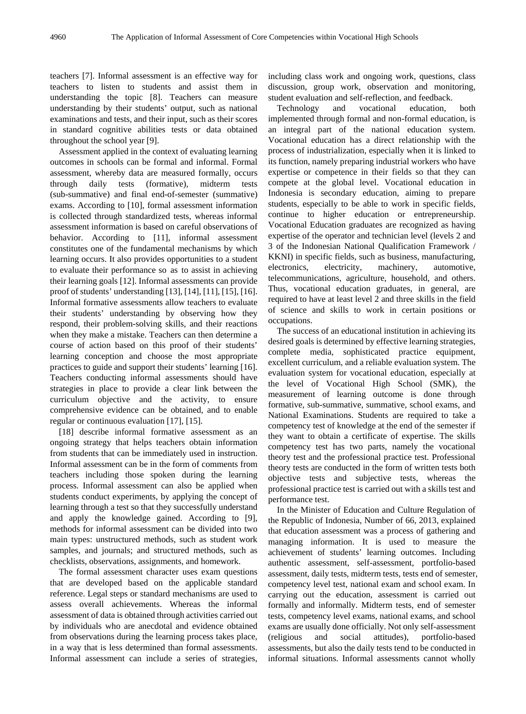teachers [7]. Informal assessment is an effective way for teachers to listen to students and assist them in understanding the topic [8]. Teachers can measure understanding by their students' output, such as national examinations and tests, and their input, such as their scores in standard cognitive abilities tests or data obtained throughout the school year [9].

Assessment applied in the context of evaluating learning outcomes in schools can be formal and informal. Formal assessment, whereby data are measured formally, occurs through daily tests (formative), midterm tests (sub-summative) and final end-of-semester (summative) exams. According to [10], formal assessment information is collected through standardized tests, whereas informal assessment information is based on careful observations of behavior. According to [11], informal assessment constitutes one of the fundamental mechanisms by which learning occurs. It also provides opportunities to a student to evaluate their performance so as to assist in achieving their learning goals [12]. Informal assessments can provide proof of students' understanding [13], [14], [11], [15], [16]. Informal formative assessments allow teachers to evaluate their students' understanding by observing how they respond, their problem-solving skills, and their reactions when they make a mistake. Teachers can then determine a course of action based on this proof of their students' learning conception and choose the most appropriate practices to guide and support their students' learning [16]. Teachers conducting informal assessments should have strategies in place to provide a clear link between the curriculum objective and the activity, to ensure comprehensive evidence can be obtained, and to enable regular or continuous evaluation [17], [15].

[18] describe informal formative assessment as an ongoing strategy that helps teachers obtain information from students that can be immediately used in instruction. Informal assessment can be in the form of comments from teachers including those spoken during the learning process. Informal assessment can also be applied when students conduct experiments, by applying the concept of learning through a test so that they successfully understand and apply the knowledge gained. According to [9], methods for informal assessment can be divided into two main types: unstructured methods, such as student work samples, and journals; and structured methods, such as checklists, observations, assignments, and homework.

The formal assessment character uses exam questions that are developed based on the applicable standard reference. Legal steps or standard mechanisms are used to assess overall achievements. Whereas the informal assessment of data is obtained through activities carried out by individuals who are anecdotal and evidence obtained from observations during the learning process takes place, in a way that is less determined than formal assessments. Informal assessment can include a series of strategies,

including class work and ongoing work, questions, class discussion, group work, observation and monitoring, student evaluation and self-reflection, and feedback.

Technology and vocational education, both implemented through formal and non-formal education, is an integral part of the national education system. Vocational education has a direct relationship with the process of industrialization, especially when it is linked to its function, namely preparing industrial workers who have expertise or competence in their fields so that they can compete at the global level. Vocational education in Indonesia is secondary education, aiming to prepare students, especially to be able to work in specific fields, continue to higher education or entrepreneurship. Vocational Education graduates are recognized as having expertise of the operator and technician level (levels 2 and 3 of the Indonesian National Qualification Framework / KKNI) in specific fields, such as business, manufacturing, electronics, electricity, machinery, automotive, telecommunications, agriculture, household, and others. Thus, vocational education graduates, in general, are required to have at least level 2 and three skills in the field of science and skills to work in certain positions or occupations.

The success of an educational institution in achieving its desired goals is determined by effective learning strategies, complete media, sophisticated practice equipment, excellent curriculum, and a reliable evaluation system. The evaluation system for vocational education, especially at the level of Vocational High School (SMK), the measurement of learning outcome is done through formative, sub-summative, summative, school exams, and National Examinations. Students are required to take a competency test of knowledge at the end of the semester if they want to obtain a certificate of expertise. The skills competency test has two parts, namely the vocational theory test and the professional practice test. Professional theory tests are conducted in the form of written tests both objective tests and subjective tests, whereas the professional practice test is carried out with a skills test and performance test.

In the Minister of Education and Culture Regulation of the Republic of Indonesia, Number of 66, 2013, explained that education assessment was a process of gathering and managing information. It is used to measure the achievement of students' learning outcomes. Including authentic assessment, self-assessment, portfolio-based assessment, daily tests, midterm tests, tests end of semester, competency level test, national exam and school exam. In carrying out the education, assessment is carried out formally and informally. Midterm tests, end of semester tests, competency level exams, national exams, and school exams are usually done officially. Not only self-assessment (religious and social attitudes), portfolio-based assessments, but also the daily tests tend to be conducted in informal situations. Informal assessments cannot wholly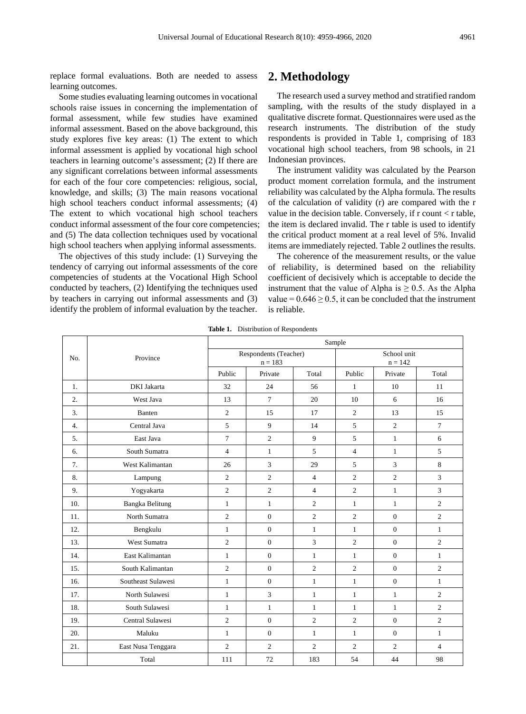replace formal evaluations. Both are needed to assess learning outcomes.

Some studies evaluating learning outcomes in vocational schools raise issues in concerning the implementation of formal assessment, while few studies have examined informal assessment. Based on the above background, this study explores five key areas: (1) The extent to which informal assessment is applied by vocational high school teachers in learning outcome's assessment; (2) If there are any significant correlations between informal assessments for each of the four core competencies: religious, social, knowledge, and skills; (3) The main reasons vocational high school teachers conduct informal assessments; (4) The extent to which vocational high school teachers conduct informal assessment of the four core competencies; and (5) The data collection techniques used by vocational high school teachers when applying informal assessments.

The objectives of this study include: (1) Surveying the tendency of carrying out informal assessments of the core competencies of students at the Vocational High School conducted by teachers, (2) Identifying the techniques used by teachers in carrying out informal assessments and (3) identify the problem of informal evaluation by the teacher.

## **2. Methodology**

The research used a survey method and stratified random sampling, with the results of the study displayed in a qualitative discrete format. Questionnaires were used as the research instruments. The distribution of the study respondents is provided in Table 1, comprising of 183 vocational high school teachers, from 98 schools, in 21 Indonesian provinces.

The instrument validity was calculated by the Pearson product moment correlation formula, and the instrument reliability was calculated by the Alpha formula. The results of the calculation of validity (r) are compared with the r value in the decision table. Conversely, if  $r$  count  $\lt r$  table, the item is declared invalid. The r table is used to identify the critical product moment at a real level of 5%. Invalid items are immediately rejected. Table 2 outlines the results.

The coherence of the measurement results, or the value of reliability, is determined based on the reliability coefficient of decisively which is acceptable to decide the instrument that the value of Alpha is  $\geq$  0.5. As the Alpha value =  $0.646 \ge 0.5$ , it can be concluded that the instrument is reliable.

|     | Province               | Sample                |                |                |                |                |                |
|-----|------------------------|-----------------------|----------------|----------------|----------------|----------------|----------------|
| No. |                        | Respondents (Teacher) |                |                | School unit    |                |                |
|     |                        | $n = 183$             |                |                | $n = 142$      |                |                |
|     |                        | Public                | Private        | Total          | Public         | Private        | Total          |
| 1.  | <b>DKI</b> Jakarta     | 32                    | 24             | 56             | $\mathbf{1}$   | 10             | 11             |
| 2.  | West Java              | 13                    | $\overline{7}$ | 20             | 10             | 6              | 16             |
| 3.  | Banten                 | $\overline{c}$        | 15             | 17             | $\overline{2}$ | 13             | 15             |
| 4.  | Central Java           | 5                     | 9              | 14             | 5              | 2              | $\tau$         |
| 5.  | East Java              | 7                     | $\overline{c}$ | $\mathbf{Q}$   | 5              | $\mathbf{1}$   | 6              |
| 6.  | South Sumatra          | $\overline{4}$        | $\mathbf{1}$   | 5              | $\overline{4}$ | $\mathbf{1}$   | 5              |
| 7.  | West Kalimantan        | 26                    | 3              | 29             | 5              | 3              | 8              |
| 8.  | Lampung                | $\overline{c}$        | $\overline{c}$ | $\overline{4}$ | $\overline{2}$ | $\overline{2}$ | 3              |
| 9.  | Yogyakarta             | $\overline{c}$        | $\overline{c}$ | $\overline{4}$ | $\overline{c}$ | $\mathbf{1}$   | 3              |
| 10. | <b>Bangka Belitung</b> | $\mathbf{1}$          | $\mathbf{1}$   | $\overline{2}$ | $\mathbf{1}$   | $\mathbf{1}$   | $\overline{c}$ |
| 11. | North Sumatra          | $\overline{c}$        | $\mathbf{0}$   | $\overline{2}$ | $\overline{2}$ | $\mathbf{0}$   | $\overline{c}$ |
| 12. | Bengkulu               | $\mathbf{1}$          | $\mathbf{0}$   | $\mathbf{1}$   | $\mathbf{1}$   | $\Omega$       | $\mathbf{1}$   |
| 13. | West Sumatra           | $\overline{c}$        | $\Omega$       | 3              | $\overline{2}$ | $\Omega$       | $\overline{c}$ |
| 14. | East Kalimantan        | $\mathbf{1}$          | $\mathbf{0}$   | $\mathbf{1}$   | $\mathbf{1}$   | $\Omega$       | $\mathbf{1}$   |
| 15. | South Kalimantan       | $\overline{c}$        | $\mathbf{0}$   | $\overline{2}$ | $\overline{2}$ | $\Omega$       | $\overline{c}$ |
| 16. | Southeast Sulawesi     | $\mathbf{1}$          | $\mathbf{0}$   | $\mathbf{1}$   | $\mathbf{1}$   | $\mathbf{0}$   | $\mathbf{1}$   |
| 17. | North Sulawesi         | $\mathbf{1}$          | 3              | $\mathbf{1}$   | $\mathbf{1}$   | $\mathbf{1}$   | $\overline{c}$ |
| 18. | South Sulawesi         | $\mathbf{1}$          | $\mathbf{1}$   | $\mathbf{1}$   | 1              | $\mathbf{1}$   | $\overline{c}$ |
| 19. | Central Sulawesi       | $\overline{c}$        | $\mathbf{0}$   | $\overline{2}$ | $\overline{2}$ | $\Omega$       | $\overline{c}$ |
| 20. | Maluku                 | $\mathbf{1}$          | $\mathbf{0}$   | $\mathbf{1}$   | $\mathbf{1}$   | $\Omega$       | $\mathbf{1}$   |
| 21. | East Nusa Tenggara     | $\overline{c}$        | $\overline{c}$ | 2              | 2              | $\overline{c}$ | $\overline{4}$ |
|     | Total                  | 111                   | 72             | 183            | 54             | 44             | 98             |

**Table 1.** Distribution of Respondents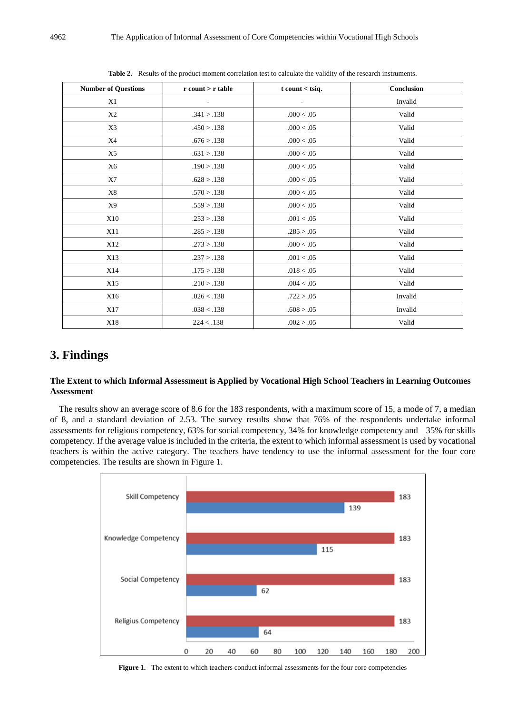| <b>Number of Questions</b> | r count > r table        | $t$ count $<$ tsiq. | Conclusion |
|----------------------------|--------------------------|---------------------|------------|
| X1                         | $\overline{\phantom{a}}$ | $\sim$              | Invalid    |
| X <sub>2</sub>             | .341 > .138              | .000 < .05          | Valid      |
| X3                         | .450 > .138              | .000 < .05          | Valid      |
| X4                         | .676 > .138              | .000 < .05          | Valid      |
| X5                         | .631 > .138              | .000 < .05          | Valid      |
| X6                         | .190 > .138              | .000 < .05          | Valid      |
| <b>X7</b>                  | .628 > .138              | .000 < .05          | Valid      |
| X8                         | .570 > .138              | .000 < .05          | Valid      |
| X9                         | .559 > .138              | .000 < .05          | Valid      |
| X10                        | .253 > .138              | .001 < .05          | Valid      |
| X11                        | .285 > .138              | .285 > .05          | Valid      |
| X12                        | .273 > .138              | .000 < .05          | Valid      |
| X13                        | .237 > .138              | .001 < .05          | Valid      |
| X14                        | .175 > .138              | .018 < .05          | Valid      |
| X15                        | .210 > .138              | .004 < .05          | Valid      |
| X16                        | .026 < .138              | .722 > .05          | Invalid    |
| X17                        | .038 < .138              | .608 > .05          | Invalid    |
| X18                        | 224 < .138               | .002 > .05          | Valid      |

**Table 2.** Results of the product moment correlation test to calculate the validity of the research instruments.

## **3. Findings**

#### **The Extent to which Informal Assessment is Applied by Vocational High School Teachers in Learning Outcomes Assessment**

The results show an average score of 8.6 for the 183 respondents, with a maximum score of 15, a mode of 7, a median of 8, and a standard deviation of 2.53. The survey results show that 76% of the respondents undertake informal assessments for religious competency, 63% for social competency, 34% for knowledge competency and 35% for skills competency. If the average value is included in the criteria, the extent to which informal assessment is used by vocational teachers is within the active category. The teachers have tendency to use the informal assessment for the four core competencies. The results are shown in Figure 1.



**Figure 1.** The extent to which teachers conduct informal assessments for the four core competencies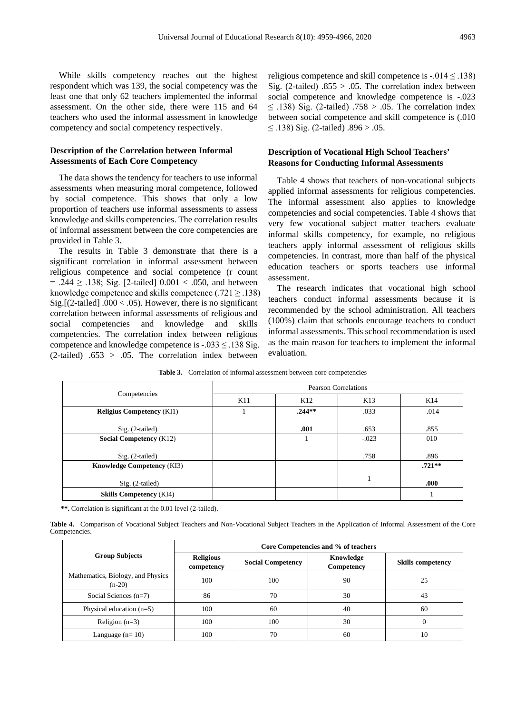While skills competency reaches out the highest respondent which was 139, the social competency was the least one that only 62 teachers implemented the informal assessment. On the other side, there were 115 and 64 teachers who used the informal assessment in knowledge competency and social competency respectively.

#### **Description of the Correlation between Informal Assessments of Each Core Competency**

The data shows the tendency for teachers to use informal assessments when measuring moral competence, followed by social competence. This shows that only a low proportion of teachers use informal assessments to assess knowledge and skills competencies. The correlation results of informal assessment between the core competencies are provided in Table 3.

The results in Table 3 demonstrate that there is a significant correlation in informal assessment between religious competence and social competence (r count  $= .244 \ge .138$ ; Sig. [2-tailed] 0.001 < .050, and between knowledge competence and skills competence (.721  $\ge$  .138) Sig.  $[(2-tailed]$ . 000 < .05). However, there is no significant correlation between informal assessments of religious and social competencies and knowledge and skills competencies. The correlation index between religious competence and knowledge competence is  $-.033 \le .138$  Sig. (2-tailed)  $.653$  >  $.05$ . The correlation index between

religious competence and skill competence is  $-0.014 \le 0.138$ ) Sig. (2-tailed)  $.855 > .05$ . The correlation index between social competence and knowledge competence is -.023 ≤ .138) Sig. (2-tailed) .758 > .05. The correlation index between social competence and skill competence is (.010 ≤ .138) Sig. (2-tailed) .896 > .05.

#### **Description of Vocational High School Teachers' Reasons for Conducting Informal Assessments**

Table 4 shows that teachers of non-vocational subjects applied informal assessments for religious competencies. The informal assessment also applies to knowledge competencies and social competencies. Table 4 shows that very few vocational subject matter teachers evaluate informal skills competency, for example, no religious teachers apply informal assessment of religious skills competencies. In contrast, more than half of the physical education teachers or sports teachers use informal assessment.

The research indicates that vocational high school teachers conduct informal assessments because it is recommended by the school administration. All teachers (100%) claim that schools encourage teachers to conduct informal assessments. This school recommendation is used as the main reason for teachers to implement the informal evaluation.

|                                  | <b>Pearson Correlations</b> |                 |         |          |  |
|----------------------------------|-----------------------------|-----------------|---------|----------|--|
| Competencies                     | K11                         | K <sub>12</sub> | K13     | K14      |  |
| <b>Religius Competency (KI1)</b> |                             | $.244**$        | .033    | $-.014$  |  |
| $Sig. (2-tailed)$                |                             | .001            | .653    | .855     |  |
| <b>Social Competency (K12)</b>   |                             |                 | $-.023$ | 010      |  |
| Sig. (2-tailed)                  |                             |                 | .758    | .896     |  |
| Knowledge Competency (KI3)       |                             |                 |         | $.721**$ |  |
| $Sig. (2-tailed)$                |                             |                 |         | .000     |  |
| <b>Skills Competency (KI4)</b>   |                             |                 |         |          |  |

**Table 3.** Correlation of informal assessment between core competencies

**\*\*.** Correlation is significant at the 0.01 level (2-tailed).

**Table 4.** Comparison of Vocational Subject Teachers and Non-Vocational Subject Teachers in the Application of Informal Assessment of the Core Competencies.

|                                               | Core Competencies and % of teachers                        |     |                         |                          |  |
|-----------------------------------------------|------------------------------------------------------------|-----|-------------------------|--------------------------|--|
| <b>Group Subjects</b>                         | <b>Religious</b><br><b>Social Competency</b><br>competency |     | Knowledge<br>Competency | <b>Skills competency</b> |  |
| Mathematics, Biology, and Physics<br>$(n-20)$ | 100                                                        | 100 | 90                      | 25                       |  |
| Social Sciences $(n=7)$                       | 86                                                         | 70  | 30                      | 43                       |  |
| Physical education $(n=5)$                    | 100                                                        | 60  | 40                      | 60                       |  |
| Religion $(n=3)$                              | 100                                                        | 100 | 30                      | 0                        |  |
| Language $(n=10)$                             | 100                                                        | 70  | 60                      | 10                       |  |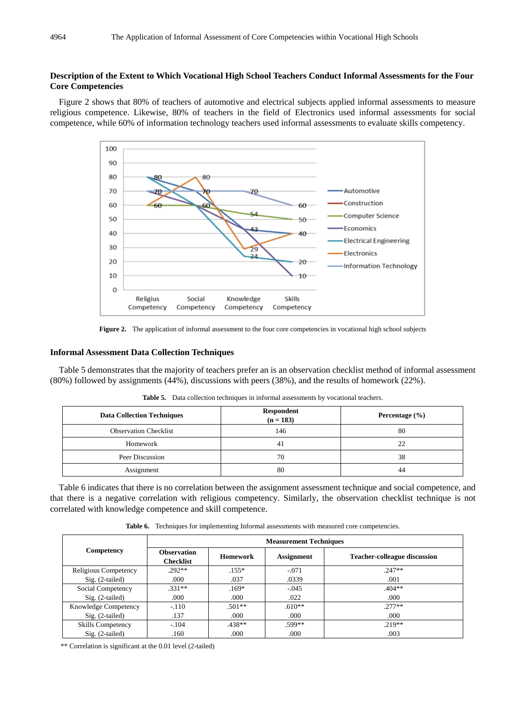#### **Description of the Extent to Which Vocational High School Teachers Conduct Informal Assessments for the Four Core Competencies**

Figure 2 shows that 80% of teachers of automotive and electrical subjects applied informal assessments to measure religious competence. Likewise, 80% of teachers in the field of Electronics used informal assessments for social competence, while 60% of information technology teachers used informal assessments to evaluate skills competency.



**Figure 2.** The application of informal assessment to the four core competencies in vocational high school subjects

#### **Informal Assessment Data Collection Techniques**

Table 5 demonstrates that the majority of teachers prefer an is an observation checklist method of informal assessment (80%) followed by assignments (44%), discussions with peers (38%), and the results of homework (22%).

| <b>Data Collection Techniques</b> | <b>Respondent</b><br>$(n = 183)$ | Percentage $(\% )$ |  |
|-----------------------------------|----------------------------------|--------------------|--|
| <b>Observation Checklist</b>      | 146                              | 80                 |  |
| Homework                          | 41                               | 22                 |  |
| Peer Discussion                   | 70                               | 38                 |  |
| Assignment                        | 80                               | 44                 |  |

**Table 5.** Data collection techniques in informal assessments by vocational teachers.

Table 6 indicates that there is no correlation between the assignment assessment technique and social competence, and that there is a negative correlation with religious competency. Similarly, the observation checklist technique is not correlated with knowledge competence and skill competence.

|                          | <b>Measurement Techniques</b>          |                 |                   |                                     |  |
|--------------------------|----------------------------------------|-----------------|-------------------|-------------------------------------|--|
| Competency               | <b>Observation</b><br><b>Checklist</b> | <b>Homework</b> | <b>Assignment</b> | <b>Teacher-colleague discussion</b> |  |
| Religious Competency     | $292**$                                | $.155*$         | $-.071$           | $.247**$                            |  |
| $Sig. (2-tailed)$        | .000                                   | .037            | .0339             | .001                                |  |
| Social Competency        | $.331**$                               | $.169*$         | $-.045$           | $.404**$                            |  |
| $Sig. (2-tailed)$        | .000                                   | .000            | .022              | .000                                |  |
| Knowledge Competency     | $-.110$                                | $.501**$        | $.610**$          | $277**$                             |  |
| $Sig. (2-tailed)$        | .137                                   | .000            | .000              | .000                                |  |
| <b>Skills Competency</b> | $-.104$                                | $.438**$        | .599**            | $.219**$                            |  |
| $Sig. (2-tailed)$        | .160                                   | .000            | .000              | .003                                |  |

**Table 6.** Techniques for implementing Informal assessments with measured core competencies.

\*\* Correlation is significant at the 0.01 level (2-tailed)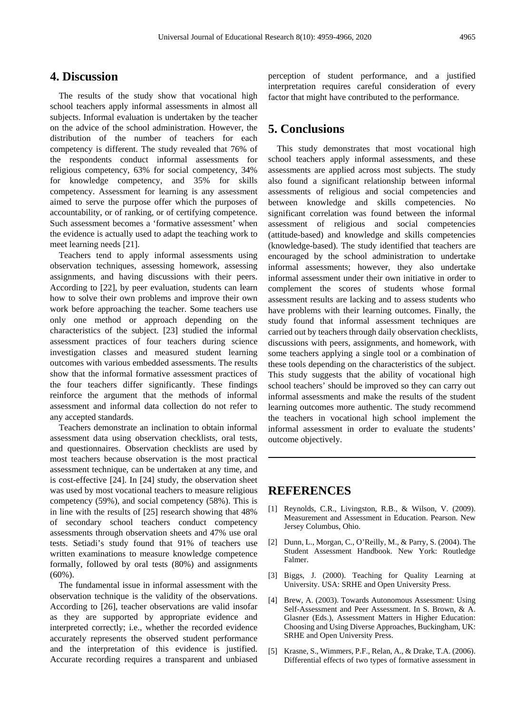## **4. Discussion**

The results of the study show that vocational high school teachers apply informal assessments in almost all subjects. Informal evaluation is undertaken by the teacher on the advice of the school administration. However, the distribution of the number of teachers for each competency is different. The study revealed that 76% of the respondents conduct informal assessments for religious competency, 63% for social competency, 34% for knowledge competency, and 35% for skills competency. Assessment for learning is any assessment aimed to serve the purpose offer which the purposes of accountability, or of ranking, or of certifying competence. Such assessment becomes a 'formative assessment' when the evidence is actually used to adapt the teaching work to meet learning needs [21].

Teachers tend to apply informal assessments using observation techniques, assessing homework, assessing assignments, and having discussions with their peers. According to [22], by peer evaluation, students can learn how to solve their own problems and improve their own work before approaching the teacher. Some teachers use only one method or approach depending on the characteristics of the subject. [23] studied the informal assessment practices of four teachers during science investigation classes and measured student learning outcomes with various embedded assessments. The results show that the informal formative assessment practices of the four teachers differ significantly. These findings reinforce the argument that the methods of informal assessment and informal data collection do not refer to any accepted standards.

Teachers demonstrate an inclination to obtain informal assessment data using observation checklists, oral tests, and questionnaires. Observation checklists are used by most teachers because observation is the most practical assessment technique, can be undertaken at any time, and is cost-effective [24]. In [24] study, the observation sheet was used by most vocational teachers to measure religious competency (59%), and social competency (58%). This is in line with the results of [25] research showing that 48% of secondary school teachers conduct competency assessments through observation sheets and 47% use oral tests. Setiadi's study found that 91% of teachers use written examinations to measure knowledge competence formally, followed by oral tests (80%) and assignments  $(60\%)$ .

The fundamental issue in informal assessment with the observation technique is the validity of the observations. According to [26], teacher observations are valid insofar as they are supported by appropriate evidence and interpreted correctly; i.e., whether the recorded evidence accurately represents the observed student performance and the interpretation of this evidence is justified. Accurate recording requires a transparent and unbiased

perception of student performance, and a justified interpretation requires careful consideration of every factor that might have contributed to the performance.

## **5. Conclusions**

This study demonstrates that most vocational high school teachers apply informal assessments, and these assessments are applied across most subjects. The study also found a significant relationship between informal assessments of religious and social competencies and between knowledge and skills competencies. No significant correlation was found between the informal assessment of religious and social competencies (attitude-based) and knowledge and skills competencies (knowledge-based). The study identified that teachers are encouraged by the school administration to undertake informal assessments; however, they also undertake informal assessment under their own initiative in order to complement the scores of students whose formal assessment results are lacking and to assess students who have problems with their learning outcomes. Finally, the study found that informal assessment techniques are carried out by teachers through daily observation checklists, discussions with peers, assignments, and homework, with some teachers applying a single tool or a combination of these tools depending on the characteristics of the subject. This study suggests that the ability of vocational high school teachers' should be improved so they can carry out informal assessments and make the results of the student learning outcomes more authentic. The study recommend the teachers in vocational high school implement the informal assessment in order to evaluate the students' outcome objectively.

## **REFERENCES**

- [1] Reynolds, C.R., Livingston, R.B., & Wilson, V. (2009). Measurement and Assessment in Education. Pearson. New Jersey Columbus, Ohio.
- [2] Dunn, L., Morgan, C., O'Reilly, M., & Parry, S. (2004). The Student Assessment Handbook. New York: Routledge Falmer.
- [3] Biggs, J. (2000). Teaching for Quality Learning at University. USA: SRHE and Open University Press.
- [4] Brew, A. (2003). Towards Autonomous Assessment: Using Self-Assessment and Peer Assessment. In S. Brown, & A. Glasner (Eds.), Assessment Matters in Higher Education: Choosing and Using Diverse Approaches, Buckingham, UK: SRHE and Open University Press.
- [5] Krasne, S., Wimmers, P.F., Relan, A., & Drake, T.A. (2006). Differential effects of two types of formative assessment in